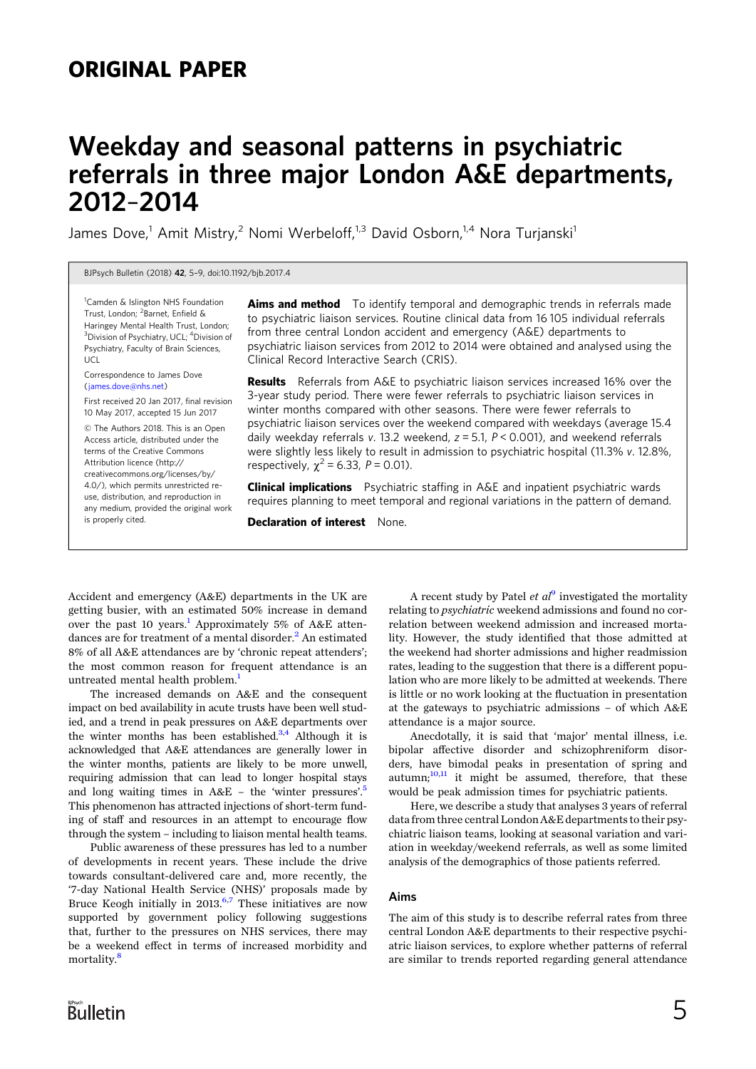## ORIGINAL PAPER

# Weekday and seasonal patterns in psychiatric referrals in three major London A&E departments, 2012–2014

James Dove,<sup>1</sup> Amit Mistry,<sup>2</sup> Nomi Werbeloff,<sup>1,3</sup> David Osborn,<sup>1,4</sup> Nora Turjanski<sup>1</sup>

BJPsych Bulletin (2018) 42, 5–9, doi:10.1192/bjb.2017.4

<sup>1</sup> Camden & Islington NHS Foundation Trust, London; <sup>2</sup>Barnet, Enfield & Haringey Mental Health Trust, London; <sup>3</sup>Division of Psychiatry, UCL; <sup>4</sup>Division of Psychiatry, Faculty of Brain Sciences, UCL

#### Correspondence to James Dove [\(james.dove@nhs.net](mailto:james.�dove@nhs.net))

First received 20 Jan 2017, final revision 10 May 2017, accepted 15 Jun 2017

© The Authors 2018. This is an Open Access article, distributed under the terms of the Creative Commons Attribution licence (http:// creativecommons.org/licenses/by/ 4.0/), which permits unrestricted reuse, distribution, and reproduction in any medium, provided the original work is properly cited.

**Aims and method** To identify temporal and demographic trends in referrals made to psychiatric liaison services. Routine clinical data from 16 105 individual referrals from three central London accident and emergency (A&E) departments to psychiatric liaison services from 2012 to 2014 were obtained and analysed using the Clinical Record Interactive Search (CRIS).

Results Referrals from A&E to psychiatric liaison services increased 16% over the 3-year study period. There were fewer referrals to psychiatric liaison services in winter months compared with other seasons. There were fewer referrals to psychiatric liaison services over the weekend compared with weekdays (average 15.4 daily weekday referrals v. 13.2 weekend,  $z = 5.1$ ,  $P < 0.001$ ), and weekend referrals were slightly less likely to result in admission to psychiatric hospital (11.3% v. 12.8%, respectively,  $\chi^2$  = 6.33, P = 0.01).

**Clinical implications** Psychiatric staffing in A&E and inpatient psychiatric wards requires planning to meet temporal and regional variations in the pattern of demand.

Declaration of interest None.

Accident and emergency (A&E) departments in the UK are getting busier, with an estimated 50% increase in demand over the past [1](#page-3-0)0 years.<sup>1</sup> Approximately 5% of A&E attendances are for treatment of a mental disorder. $<sup>2</sup>$  $<sup>2</sup>$  $<sup>2</sup>$  An estimated</sup> 8% of all A&E attendances are by 'chronic repeat attenders'; the most common reason for frequent attendance is an untreated mental health problem.<sup>[1](#page-3-0)</sup>

The increased demands on A&E and the consequent impact on bed availability in acute trusts have been well studied, and a trend in peak pressures on A&E departments over the winter months has been established. $3,4$  Although it is acknowledged that A&E attendances are generally lower in the winter months, patients are likely to be more unwell, requiring admission that can lead to longer hospital stays and long waiting times in A&E – the 'winter pressures'. [5](#page-4-0) This phenomenon has attracted injections of short-term funding of staff and resources in an attempt to encourage flow through the system – including to liaison mental health teams.

Public awareness of these pressures has led to a number of developments in recent years. These include the drive towards consultant-delivered care and, more recently, the '7-day National Health Service (NHS)' proposals made by Bruce Keogh initially in  $2013$ <sup>[6,7](#page-4-0)</sup> These initiatives are now supported by government policy following suggestions that, further to the pressures on NHS services, there may be a weekend effect in terms of increased morbidity and mortality.<sup>8</sup>

A recent study by Patel *et al*<sup>[9](#page-4-0)</sup> investigated the mortality relating to psychiatric weekend admissions and found no correlation between weekend admission and increased mortality. However, the study identified that those admitted at the weekend had shorter admissions and higher readmission rates, leading to the suggestion that there is a different population who are more likely to be admitted at weekends. There is little or no work looking at the fluctuation in presentation at the gateways to psychiatric admissions – of which A&E attendance is a major source.

Anecdotally, it is said that 'major' mental illness, i.e. bipolar affective disorder and schizophreniform disorders, have bimodal peaks in presentation of spring and autumn; $10,11$  $10,11$  $10,11$  it might be assumed, therefore, that these would be peak admission times for psychiatric patients.

Here, we describe a study that analyses 3 years of referral data from three central London A&E departments to their psychiatric liaison teams, looking at seasonal variation and variation in weekday/weekend referrals, as well as some limited analysis of the demographics of those patients referred.

#### Aims

The aim of this study is to describe referral rates from three central London A&E departments to their respective psychiatric liaison services, to explore whether patterns of referral are similar to trends reported regarding general attendance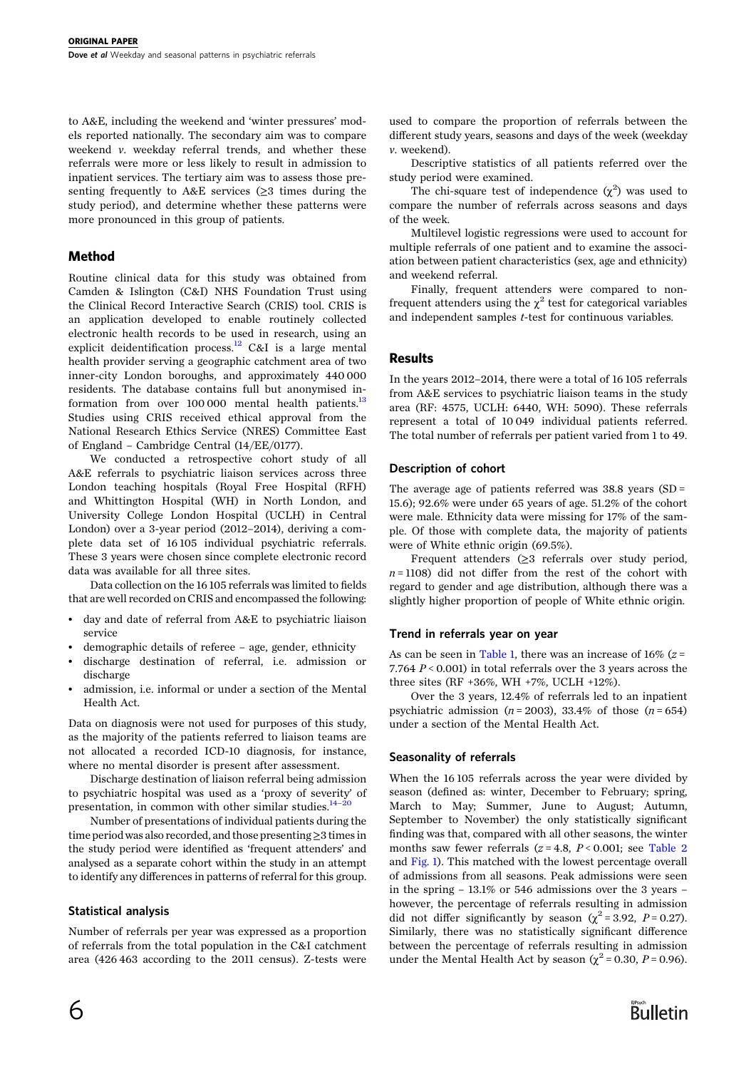to A&E, including the weekend and 'winter pressures' models reported nationally. The secondary aim was to compare weekend v. weekday referral trends, and whether these referrals were more or less likely to result in admission to inpatient services. The tertiary aim was to assess those presenting frequently to A&E services  $(\geq 3)$  times during the study period), and determine whether these patterns were more pronounced in this group of patients.

### Method

Routine clinical data for this study was obtained from Camden & Islington (C&I) NHS Foundation Trust using the Clinical Record Interactive Search (CRIS) tool. CRIS is an application developed to enable routinely collected electronic health records to be used in research, using an explicit deidentification process.<sup>[12](#page-4-0)</sup> C&I is a large mental health provider serving a geographic catchment area of two inner-city London boroughs, and approximately 440 000 residents. The database contains full but anonymised information from over  $100000$  mental health patients.<sup>13</sup> Studies using CRIS received ethical approval from the National Research Ethics Service (NRES) Committee East of England – Cambridge Central (14/EE/0177).

We conducted a retrospective cohort study of all A&E referrals to psychiatric liaison services across three London teaching hospitals (Royal Free Hospital (RFH) and Whittington Hospital (WH) in North London, and University College London Hospital (UCLH) in Central London) over a 3-year period (2012–2014), deriving a complete data set of 16 105 individual psychiatric referrals. These 3 years were chosen since complete electronic record data was available for all three sites.

Data collection on the 16 105 referrals was limited to fields that are well recorded on CRIS and encompassed the following:

- day and date of referral from A&E to psychiatric liaison service
- demographic details of referee age, gender, ethnicity
- discharge destination of referral, i.e. admission or discharge
- admission, i.e. informal or under a section of the Mental Health Act.

Data on diagnosis were not used for purposes of this study, as the majority of the patients referred to liaison teams are not allocated a recorded ICD-10 diagnosis, for instance, where no mental disorder is present after assessment.

Discharge destination of liaison referral being admission to psychiatric hospital was used as a 'proxy of severity' of presentation, in common with other similar studies. $14-20$  $14-20$  $14-20$ 

Number of presentations of individual patients during the time period was also recorded, and those presenting≥3 times in the study period were identified as 'frequent attenders' and analysed as a separate cohort within the study in an attempt to identify any differences in patterns of referral for this group.

#### Statistical analysis

Number of referrals per year was expressed as a proportion of referrals from the total population in the C&I catchment area (426 463 according to the 2011 census). Z-tests were

used to compare the proportion of referrals between the different study years, seasons and days of the week (weekday v. weekend).

Descriptive statistics of all patients referred over the study period were examined.

The chi-square test of independence  $(\chi^2)$  was used to compare the number of referrals across seasons and days of the week.

Multilevel logistic regressions were used to account for multiple referrals of one patient and to examine the association between patient characteristics (sex, age and ethnicity) and weekend referral.

Finally, frequent attenders were compared to nonfrequent attenders using the  $\chi^2$  test for categorical variables and independent samples t-test for continuous variables.

#### **Results**

In the years 2012–2014, there were a total of 16 105 referrals from A&E services to psychiatric liaison teams in the study area (RF: 4575, UCLH: 6440, WH: 5090). These referrals represent a total of 10 049 individual patients referred. The total number of referrals per patient varied from 1 to 49.

#### Description of cohort

The average age of patients referred was 38.8 years (SD = 15.6); 92.6% were under 65 years of age. 51.2% of the cohort were male. Ethnicity data were missing for 17% of the sample. Of those with complete data, the majority of patients were of White ethnic origin (69.5%).

Frequent attenders (≥3 referrals over study period,  $n = 1108$ ) did not differ from the rest of the cohort with regard to gender and age distribution, although there was a slightly higher proportion of people of White ethnic origin.

#### Trend in referrals year on year

As can be seen in [Table 1](#page-2-0), there was an increase of 16% ( $z =$ 7.764  $P < 0.001$ ) in total referrals over the 3 years across the three sites (RF +36%, WH +7%, UCLH +12%).

Over the 3 years, 12.4% of referrals led to an inpatient psychiatric admission ( $n = 2003$ ), 33.4% of those ( $n = 654$ ) under a section of the Mental Health Act.

#### Seasonality of referrals

When the 16 105 referrals across the year were divided by season (defined as: winter, December to February; spring, March to May; Summer, June to August; Autumn, September to November) the only statistically significant finding was that, compared with all other seasons, the winter months saw fewer referrals  $(z = 4.8, P < 0.001$ ; see [Table 2](#page-2-0) and [Fig. 1](#page-2-0)). This matched with the lowest percentage overall of admissions from all seasons. Peak admissions were seen in the spring – 13.1% or 546 admissions over the 3 years – however, the percentage of referrals resulting in admission did not differ significantly by season ( $\chi^2$  = 3.92, P = 0.27). Similarly, there was no statistically significant difference between the percentage of referrals resulting in admission under the Mental Health Act by season ( $\chi^2$  = 0.30, *P* = 0.96).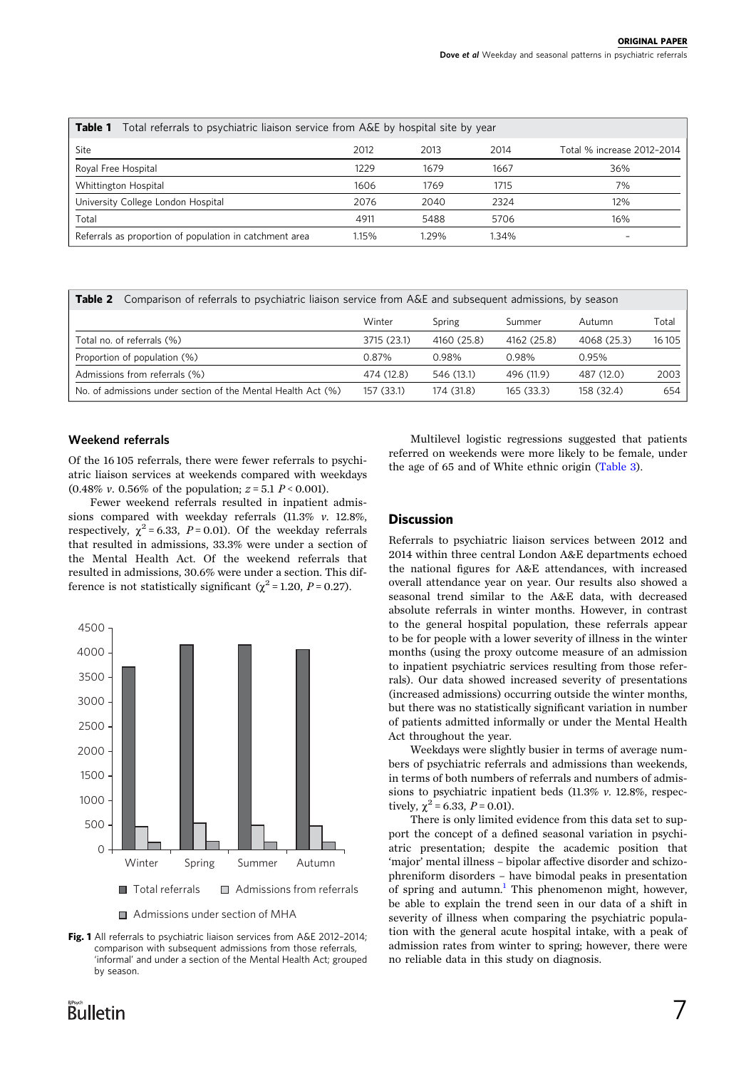<span id="page-2-0"></span>

| Total referrals to psychiatric liaison service from A&E by hospital site by year<br>Table 1 |       |       |       |                            |  |  |  |  |
|---------------------------------------------------------------------------------------------|-------|-------|-------|----------------------------|--|--|--|--|
| Site                                                                                        | 2012  | 2013  | 2014  | Total % increase 2012-2014 |  |  |  |  |
| Royal Free Hospital                                                                         | 1229  | 1679  | 1667  | 36%                        |  |  |  |  |
| Whittington Hospital                                                                        | 1606  | 1769  | 1715  | 7%                         |  |  |  |  |
| University College London Hospital                                                          | 2076  | 2040  | 2324  | 12%                        |  |  |  |  |
| Total                                                                                       | 4911  | 5488  | 5706  | 16%                        |  |  |  |  |
| Referrals as proportion of population in catchment area                                     | 1.15% | 1.29% | 1.34% | $\overline{\phantom{a}}$   |  |  |  |  |

Table 2 Comparison of referrals to psychiatric liaison service from A&E and subsequent admissions, by season

|                                                              | Winter      | Spring      | Summer      | Autumn      | Total   |
|--------------------------------------------------------------|-------------|-------------|-------------|-------------|---------|
| Total no. of referrals (%)                                   | 3715 (23.1) | 4160 (25.8) | 4162 (25.8) | 4068 (25.3) | 16 10 5 |
| Proportion of population (%)                                 | 0.87%       | 0.98%       | 0.98%       | 0.95%       |         |
| Admissions from referrals (%)                                | 474 (12.8)  | 546 (13.1)  | 496 (11.9)  | 487 (12.0)  | 2003    |
| No. of admissions under section of the Mental Health Act (%) | 157 (33.1)  | 174 (31.8)  | 165(33.3)   | 158 (32.4)  | 654     |

#### Weekend referrals

Of the 16 105 referrals, there were fewer referrals to psychiatric liaison services at weekends compared with weekdays (0.48% v. 0.56% of the population;  $z = 5.1 P \le 0.001$ ).

Fewer weekend referrals resulted in inpatient admissions compared with weekday referrals (11.3% v. 12.8%, respectively,  $\chi^2$  = 6.33, P = 0.01). Of the weekday referrals that resulted in admissions, 33.3% were under a section of the Mental Health Act. Of the weekend referrals that resulted in admissions, 30.6% were under a section. This difference is not statistically significant ( $\chi^2$  = 1.20, *P* = 0.27).



■ Admissions under section of MHA

Fig. 1 All referrals to psychiatric liaison services from A&E 2012-2014; comparison with subsequent admissions from those referrals, 'informal' and under a section of the Mental Health Act; grouped by season.

Multilevel logistic regressions suggested that patients referred on weekends were more likely to be female, under the age of 65 and of White ethnic origin ([Table 3](#page-3-0)).

#### **Discussion**

Referrals to psychiatric liaison services between 2012 and 2014 within three central London A&E departments echoed the national figures for A&E attendances, with increased overall attendance year on year. Our results also showed a seasonal trend similar to the A&E data, with decreased absolute referrals in winter months. However, in contrast to the general hospital population, these referrals appear to be for people with a lower severity of illness in the winter months (using the proxy outcome measure of an admission to inpatient psychiatric services resulting from those referrals). Our data showed increased severity of presentations (increased admissions) occurring outside the winter months, but there was no statistically significant variation in number of patients admitted informally or under the Mental Health Act throughout the year.

Weekdays were slightly busier in terms of average numbers of psychiatric referrals and admissions than weekends, in terms of both numbers of referrals and numbers of admissions to psychiatric inpatient beds (11.3% v. 12.8%, respectively,  $\chi^2$  = 6.33, *P* = 0.01).

There is only limited evidence from this data set to support the concept of a defined seasonal variation in psychiatric presentation; despite the academic position that 'major' mental illness – bipolar affective disorder and schizophreniform disorders – have bimodal peaks in presentation of spring and autumn.<sup>[1](#page-3-0)</sup> This phenomenon might, however, be able to explain the trend seen in our data of a shift in severity of illness when comparing the psychiatric population with the general acute hospital intake, with a peak of admission rates from winter to spring; however, there were no reliable data in this study on diagnosis.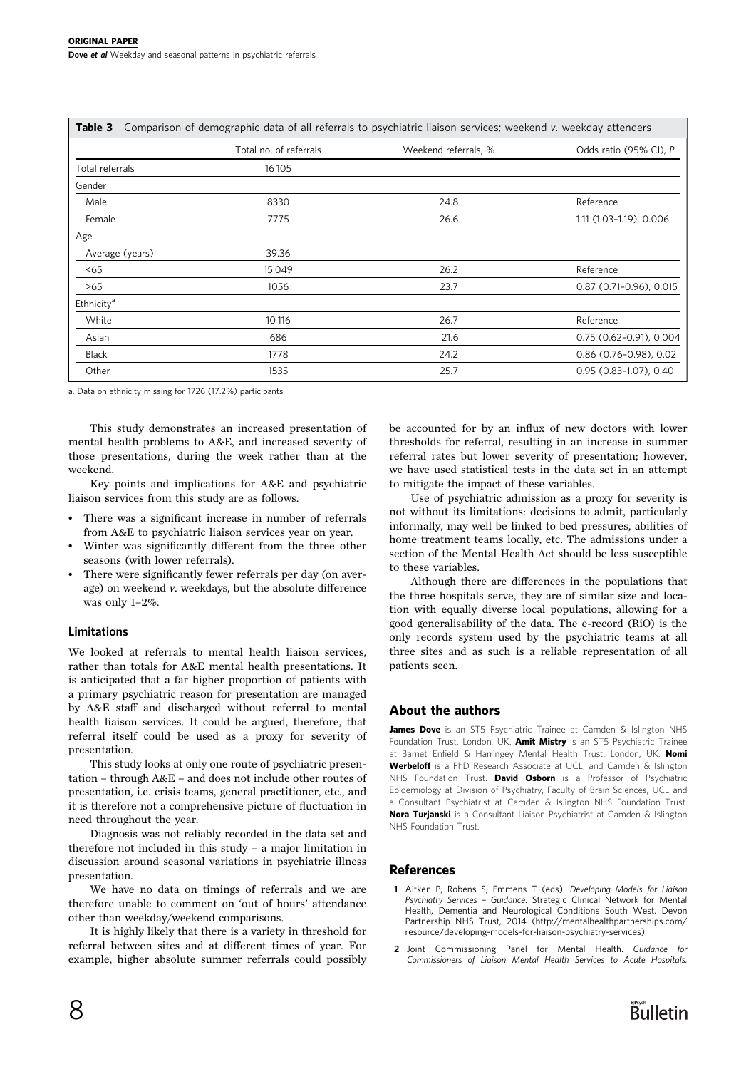<span id="page-3-0"></span>

| Comparison of demographic data of all referrals to psychiatric liaison services; weekend v. weekday attenders<br>Table 3 |                 |                        |                      |                            |  |  |  |
|--------------------------------------------------------------------------------------------------------------------------|-----------------|------------------------|----------------------|----------------------------|--|--|--|
|                                                                                                                          |                 | Total no. of referrals | Weekend referrals, % | Odds ratio (95% CI), P     |  |  |  |
| Total referrals                                                                                                          |                 | 16 10 5                |                      |                            |  |  |  |
| Gender                                                                                                                   |                 |                        |                      |                            |  |  |  |
| Male                                                                                                                     |                 | 8330                   | 24.8                 | Reference                  |  |  |  |
| Female                                                                                                                   |                 | 7775                   | 26.6                 | 1.11 (1.03-1.19), 0.006    |  |  |  |
| Age                                                                                                                      |                 |                        |                      |                            |  |  |  |
|                                                                                                                          | Average (years) | 39.36                  |                      |                            |  |  |  |
| < 65                                                                                                                     |                 | 15049                  | 26.2                 | Reference                  |  |  |  |
| >65                                                                                                                      |                 | 1056                   | 23.7                 | $0.87$ (0.71-0.96), 0.015  |  |  |  |
| Ethnicity <sup>a</sup>                                                                                                   |                 |                        |                      |                            |  |  |  |
| White                                                                                                                    |                 | 10 116                 | 26.7                 | Reference                  |  |  |  |
| Asian                                                                                                                    |                 | 686                    | 21.6                 | $0.75(0.62 - 0.91), 0.004$ |  |  |  |
| <b>Black</b>                                                                                                             |                 | 1778                   | 24.2                 | $0.86$ (0.76-0.98), 0.02   |  |  |  |
| Other                                                                                                                    |                 | 1535                   | 25.7                 | 0.95 (0.83-1.07), 0.40     |  |  |  |

a. Data on ethnicity missing for 1726 (17.2%) participants.

This study demonstrates an increased presentation of mental health problems to A&E, and increased severity of those presentations, during the week rather than at the weekend.

Key points and implications for A&E and psychiatric liaison services from this study are as follows.

- There was a significant increase in number of referrals from A&E to psychiatric liaison services year on year.
- Winter was significantly different from the three other seasons (with lower referrals).
- There were significantly fewer referrals per day (on average) on weekend v. weekdays, but the absolute difference was only 1–2%.

#### Limitations

We looked at referrals to mental health liaison services, rather than totals for A&E mental health presentations. It is anticipated that a far higher proportion of patients with a primary psychiatric reason for presentation are managed by A&E staff and discharged without referral to mental health liaison services. It could be argued, therefore, that referral itself could be used as a proxy for severity of presentation.

This study looks at only one route of psychiatric presentation – through A&E – and does not include other routes of presentation, i.e. crisis teams, general practitioner, etc., and it is therefore not a comprehensive picture of fluctuation in need throughout the year.

Diagnosis was not reliably recorded in the data set and therefore not included in this study – a major limitation in discussion around seasonal variations in psychiatric illness presentation.

We have no data on timings of referrals and we are therefore unable to comment on 'out of hours' attendance other than weekday/weekend comparisons.

It is highly likely that there is a variety in threshold for referral between sites and at different times of year. For example, higher absolute summer referrals could possibly be accounted for by an influx of new doctors with lower thresholds for referral, resulting in an increase in summer referral rates but lower severity of presentation; however, we have used statistical tests in the data set in an attempt to mitigate the impact of these variables.

Use of psychiatric admission as a proxy for severity is not without its limitations: decisions to admit, particularly informally, may well be linked to bed pressures, abilities of home treatment teams locally, etc. The admissions under a section of the Mental Health Act should be less susceptible to these variables.

Although there are differences in the populations that the three hospitals serve, they are of similar size and location with equally diverse local populations, allowing for a good generalisability of the data. The e-record (RiO) is the only records system used by the psychiatric teams at all three sites and as such is a reliable representation of all patients seen.

#### About the authors

James Dove is an ST5 Psychiatric Trainee at Camden & Islington NHS Foundation Trust, London, UK. Amit Mistry is an ST5 Psychiatric Trainee at Barnet Enfield & Harringey Mental Health Trust, London, UK. Nomi Werbeloff is a PhD Research Associate at UCL, and Camden & Islington NHS Foundation Trust. **David Osborn** is a Professor of Psychiatric Epidemiology at Division of Psychiatry, Faculty of Brain Sciences, UCL and a Consultant Psychiatrist at Camden & Islington NHS Foundation Trust. Nora Turjanski is a Consultant Liaison Psychiatrist at Camden & Islington NHS Foundation Trust.

#### References

- 1 Aitken P, Robens S, Emmens T (eds). Developing Models for Liaison Psychiatry Services – Guidance. Strategic Clinical Network for Mental Health, Dementia and Neurological Conditions South West. Devon Partnership NHS Trust, 2014 (http://mentalhealthpartnerships.com/ resource/developing-models-for-liaison-psychiatry-services).
- 2 Joint Commissioning Panel for Mental Health. Guidance for Commissioners of Liaison Mental Health Services to Acute Hospitals.